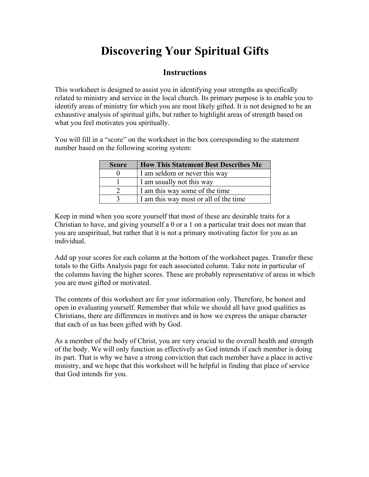# **Discovering Your Spiritual Gifts**

#### **Instructions**

This worksheet is designed to assist you in identifying your strengths as specifically related to ministry and service in the local church. Its primary purpose is to enable you to identify areas of ministry for which you are most likely gifted. It is not designed to be an exhaustive analysis of spiritual gifts, but rather to highlight areas of strength based on what you feel motivates you spiritually.

You will fill in a "score" on the worksheet in the box corresponding to the statement number based on the following scoring system:

| <b>Score</b> | <b>How This Statement Best Describes Me</b> |
|--------------|---------------------------------------------|
|              | I am seldom or never this way               |
|              | I am usually not this way                   |
|              | I am this way some of the time              |
|              | I am this way most or all of the time       |

Keep in mind when you score yourself that most of these are desirable traits for a Christian to have, and giving yourself a 0 or a 1 on a particular trait does not mean that you are unspiritual, but rather that it is not a primary motivating factor for you as an individual.

Add up your scores for each column at the bottom of the worksheet pages. Transfer these totals to the Gifts Analysis page for each associated column. Take note in particular of the columns having the higher scores. These are probably representative of areas in which you are most gifted or motivated.

The contents of this worksheet are for your information only. Therefore, be honest and open in evaluating yourself. Remember that while we should all have good qualities as Christians, there are differences in motives and in how we express the unique character that each of us has been gifted with by God.

As a member of the body of Christ, you are very crucial to the overall health and strength of the body. We will only function as effectively as God intends if each member is doing its part. That is why we have a strong conviction that each member have a place in active ministry, and we hope that this worksheet will be helpful in finding that place of service that God intends for you.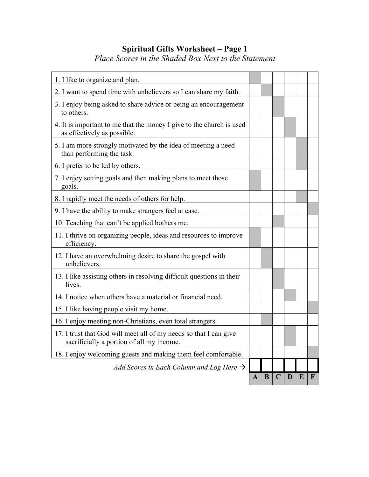## **Spiritual Gifts Worksheet – Page 1**

*Place Scores in the Shaded Box Next to the Statement*

| 1. I like to organize and plan.                                                                                |   |   |             |   |   |   |
|----------------------------------------------------------------------------------------------------------------|---|---|-------------|---|---|---|
| 2. I want to spend time with unbelievers so I can share my faith.                                              |   |   |             |   |   |   |
| 3. I enjoy being asked to share advice or being an encouragement<br>to others.                                 |   |   |             |   |   |   |
| 4. It is important to me that the money I give to the church is used<br>as effectively as possible.            |   |   |             |   |   |   |
| 5. I am more strongly motivated by the idea of meeting a need<br>than performing the task.                     |   |   |             |   |   |   |
| 6. I prefer to be led by others.                                                                               |   |   |             |   |   |   |
| 7. I enjoy setting goals and then making plans to meet those<br>goals.                                         |   |   |             |   |   |   |
| 8. I rapidly meet the needs of others for help.                                                                |   |   |             |   |   |   |
| 9. I have the ability to make strangers feel at ease.                                                          |   |   |             |   |   |   |
| 10. Teaching that can't be applied bothers me.                                                                 |   |   |             |   |   |   |
| 11. I thrive on organizing people, ideas and resources to improve<br>efficiency.                               |   |   |             |   |   |   |
| 12. I have an overwhelming desire to share the gospel with<br>unbelievers.                                     |   |   |             |   |   |   |
| 13. I like assisting others in resolving difficult questions in their<br>lives.                                |   |   |             |   |   |   |
| 14. I notice when others have a material or financial need.                                                    |   |   |             |   |   |   |
| 15. I like having people visit my home.                                                                        |   |   |             |   |   |   |
| 16. I enjoy meeting non-Christians, even total strangers.                                                      |   |   |             |   |   |   |
| 17. I trust that God will meet all of my needs so that I can give<br>sacrificially a portion of all my income. |   |   |             |   |   |   |
| 18. I enjoy welcoming guests and making them feel comfortable.                                                 |   |   |             |   |   |   |
| Add Scores in Each Column and Log Here $\rightarrow$                                                           |   |   |             |   |   |   |
|                                                                                                                | A | B | $\mathbf C$ | D | E | F |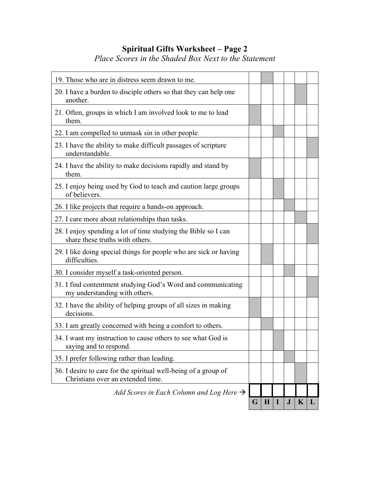## **Spiritual Gifts Worksheet – Page 2**

*Place Scores in the Shaded Box Next to the Statement*

| 19. Those who are in distress seem drawn to me.                                                      |   |             |           |             |   |
|------------------------------------------------------------------------------------------------------|---|-------------|-----------|-------------|---|
| 20. I have a burden to disciple others so that they can help one<br>another.                         |   |             |           |             |   |
| 21. Often, groups in which I am involved look to me to lead<br>them.                                 |   |             |           |             |   |
| 22. I am compelled to unmask sin in other people.                                                    |   |             |           |             |   |
| 23. I have the ability to make difficult passages of scripture<br>understandable.                    |   |             |           |             |   |
| 24. I have the ability to make decisions rapidly and stand by<br>them.                               |   |             |           |             |   |
| 25. I enjoy being used by God to teach and caution large groups<br>of believers.                     |   |             |           |             |   |
| 26. I like projects that require a hands-on approach.                                                |   |             |           |             |   |
| 27. I care more about relationships than tasks.                                                      |   |             |           |             |   |
| 28. I enjoy spending a lot of time studying the Bible so I can<br>share these truths with others.    |   |             |           |             |   |
| 29. I like doing special things for people who are sick or having<br>difficulties.                   |   |             |           |             |   |
| 30. I consider myself a task-oriented person.                                                        |   |             |           |             |   |
| 31. I find contentment studying God's Word and communicating<br>my understanding with others.        |   |             |           |             |   |
| 32. I have the ability of helping groups of all sizes in making<br>decisions.                        |   |             |           |             |   |
| 33. I am greatly concerned with being a comfort to others.                                           |   |             |           |             |   |
| 34. I want my instruction to cause others to see what God is<br>saying and to respond.               |   |             |           |             |   |
| 35. I prefer following rather than leading.                                                          |   |             |           |             |   |
| 36. I desire to care for the spiritual well-being of a group of<br>Christians over an extended time. |   |             |           |             |   |
| Add Scores in Each Column and Log Here $\rightarrow$                                                 |   |             |           |             |   |
|                                                                                                      | G | $\mathbf H$ | ${\bf J}$ | $\mathbf K$ | L |